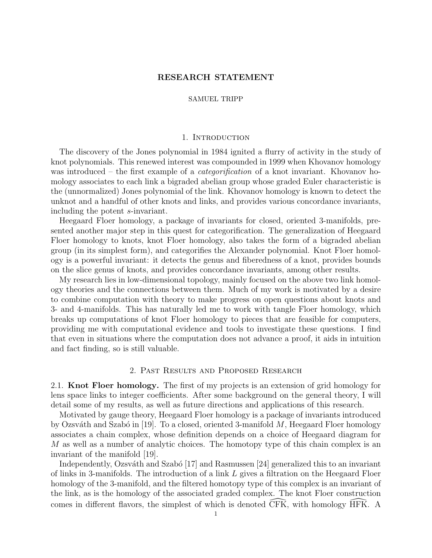## RESEARCH STATEMENT

### SAMUEL TRIPP

## 1. INTRODUCTION

The discovery of the Jones polynomial in 1984 ignited a flurry of activity in the study of knot polynomials. This renewed interest was compounded in 1999 when Khovanov homology was introduced – the first example of a *categorification* of a knot invariant. Khovanov homology associates to each link a bigraded abelian group whose graded Euler characteristic is the (unnormalized) Jones polynomial of the link. Khovanov homology is known to detect the unknot and a handful of other knots and links, and provides various concordance invariants, including the potent s-invariant.

Heegaard Floer homology, a package of invariants for closed, oriented 3-manifolds, presented another major step in this quest for categorification. The generalization of Heegaard Floer homology to knots, knot Floer homology, also takes the form of a bigraded abelian group (in its simplest form), and categorifies the Alexander polynomial. Knot Floer homology is a powerful invariant: it detects the genus and fiberedness of a knot, provides bounds on the slice genus of knots, and provides concordance invariants, among other results.

My research lies in low-dimensional topology, mainly focused on the above two link homology theories and the connections between them. Much of my work is motivated by a desire to combine computation with theory to make progress on open questions about knots and 3- and 4-manifolds. This has naturally led me to work with tangle Floer homology, which breaks up computations of knot Floer homology to pieces that are feasible for computers, providing me with computational evidence and tools to investigate these questions. I find that even in situations where the computation does not advance a proof, it aids in intuition and fact finding, so is still valuable.

## 2. Past Results and Proposed Research

2.1. Knot Floer homology. The first of my projects is an extension of grid homology for lens space links to integer coefficients. After some background on the general theory, I will detail some of my results, as well as future directions and applications of this research.

Motivated by gauge theory, Heegaard Floer homology is a package of invariants introduced by Ozsváth and Szabó in [\[19\]](#page-5-0). To a closed, oriented 3-manifold  $M$ , Heegaard Floer homology associates a chain complex, whose definition depends on a choice of Heegaard diagram for M as well as a number of analytic choices. The homotopy type of this chain complex is an invariant of the manifold [\[19\]](#page-5-0).

Independently, Ozsváth and Szabó  $[17]$  and Rasmussen  $[24]$  generalized this to an invariant of links in 3-manifolds. The introduction of a link L gives a filtration on the Heegaard Floer homology of the 3-manifold, and the filtered homotopy type of this complex is an invariant of the link, as is the homology of the associated graded complex. The knot Floer construction comes in different flavors, the simplest of which is denoted CFK, with homology HFK. A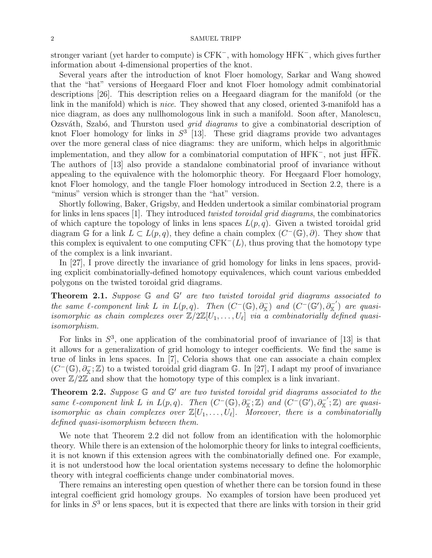stronger variant (yet harder to compute) is CFK<sup>-</sup>, with homology HFK<sup>-</sup>, which gives further information about 4-dimensional properties of the knot.

Several years after the introduction of knot Floer homology, Sarkar and Wang showed that the "hat" versions of Heegaard Floer and knot Floer homology admit combinatorial descriptions [\[26\]](#page-5-3). This description relies on a Heegaard diagram for the manifold (or the link in the manifold) which is *nice*. They showed that any closed, oriented 3-manifold has a nice diagram, as does any nullhomologous link in such a manifold. Soon after, Manolescu, Ozsváth, Szabó, and Thurston used *grid diagrams* to give a combinatorial description of knot Floer homology for links in  $S^3$  [\[13\]](#page-5-4). These grid diagrams provide two advantages over the more general class of nice diagrams: they are uniform, which helps in algorithmic implementation, and they allow for a combinatorial computation of HFK<sup>-</sup>, not just  $\widehat{HFK}$ . The authors of [\[13\]](#page-5-4) also provide a standalone combinatorial proof of invariance without appealing to the equivalence with the holomorphic theory. For Heegaard Floer homology, knot Floer homology, and the tangle Floer homology introduced in Section [2.2,](#page-2-0) there is a "minus" version which is stronger than the "hat" version.

Shortly following, Baker, Grigsby, and Hedden undertook a similar combinatorial program for links in lens spaces [\[1\]](#page-5-5). They introduced *twisted toroidal grid diagrams*, the combinatorics of which capture the topology of links in lens spaces  $L(p,q)$ . Given a twisted toroidal grid diagram G for a link  $L \subset L(p,q)$ , they define a chain complex  $(C^-(\mathbb{G}), \partial)$ . They show that this complex is equivalent to one computing  $CFK<sup>-</sup>(L)$ , thus proving that the homotopy type of the complex is a link invariant.

In [\[27\]](#page-5-6), I prove directly the invariance of grid homology for links in lens spaces, providing explicit combinatorially-defined homotopy equivalences, which count various embedded polygons on the twisted toroidal grid diagrams.

**Theorem 2.1.** Suppose  $\mathbb{G}$  and  $\mathbb{G}'$  are two twisted toroidal grid diagrams associated to the same  $\ell$ -component link L in  $L(p,q)$ . Then  $(C^-(\mathbb{G}), \partial_{\mathbb{X}}^-)$  and  $(C^-(\mathbb{G}'), \partial_{\mathbb{X}}^-)$  are quasiisomorphic as chain complexes over  $\mathbb{Z}/2\mathbb{Z}[U_1,\ldots,U_\ell]$  via a combinatorially defined quasiisomorphism.

For links in  $S^3$ , one application of the combinatorial proof of invariance of [\[13\]](#page-5-4) is that it allows for a generalization of grid homology to integer coefficients. We find the same is true of links in lens spaces. In [\[7\]](#page-5-7), Celoria shows that one can associate a chain complex  $(C^-(\mathbb{G}), \partial_{\mathbb{X}}^-;\mathbb{Z})$  to a twisted toroidal grid diagram  $\mathbb{G}$ . In [\[27\]](#page-5-6), I adapt my proof of invariance over  $\mathbb{Z}/2\mathbb{Z}$  and show that the homotopy type of this complex is a link invariant.

<span id="page-1-0"></span>**Theorem 2.2.** Suppose  $\mathbb{G}$  and  $\mathbb{G}'$  are two twisted toroidal grid diagrams associated to the same l-component link L in  $L(p,q)$ . Then  $(C^-(\mathbb{G}), \partial_{\mathbb{X}}^-;\mathbb{Z})$  and  $(C^-(\mathbb{G}'), \partial_{\mathbb{X}}^-;\mathbb{Z})$  are quasiisomorphic as chain complexes over  $\mathbb{Z}[U_1, \ldots, U_\ell]$ . Moreover, there is a combinatorially defined quasi-isomorphism between them.

We note that Theorem [2.2](#page-1-0) did not follow from an identification with the holomorphic theory. While there is an extension of the holomorphic theory for links to integral coefficients, it is not known if this extension agrees with the combinatorially defined one. For example, it is not understood how the local orientation systems necessary to define the holomorphic theory with integral coefficients change under combinatorial moves.

There remains an interesting open question of whether there can be torsion found in these integral coefficient grid homology groups. No examples of torsion have been produced yet for links in  $S<sup>3</sup>$  or lens spaces, but it is expected that there are links with torsion in their grid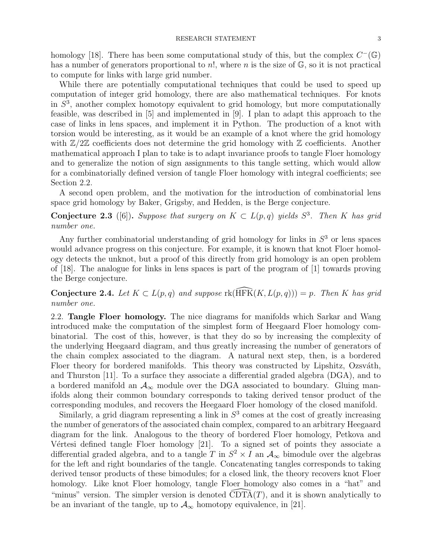homology [\[18\]](#page-5-8). There has been some computational study of this, but the complex  $C^-(\mathbb{G})$ has a number of generators proportional to  $n!$ , where n is the size of  $\mathbb{G}$ , so it is not practical to compute for links with large grid number.

While there are potentially computational techniques that could be used to speed up computation of integer grid homology, there are also mathematical techniques. For knots in  $S<sup>3</sup>$ , another complex homotopy equivalent to grid homology, but more computationally feasible, was described in [\[5\]](#page-5-9) and implemented in [\[9\]](#page-5-10). I plan to adapt this approach to the case of links in lens spaces, and implement it in Python. The production of a knot with torsion would be interesting, as it would be an example of a knot where the grid homology with  $\mathbb{Z}/2\mathbb{Z}$  coefficients does not determine the grid homology with  $\mathbb{Z}$  coefficients. Another mathematical approach I plan to take is to adapt invariance proofs to tangle Floer homology and to generalize the notion of sign assignments to this tangle setting, which would allow for a combinatorially defined version of tangle Floer homology with integral coefficients; see Section [2.2.](#page-2-0)

A second open problem, and the motivation for the introduction of combinatorial lens space grid homology by Baker, Grigsby, and Hedden, is the Berge conjecture.

**Conjecture 2.3** ([\[6\]](#page-5-11)). Suppose that surgery on  $K \subset L(p,q)$  yields  $S^3$ . Then K has grid number one.

Any further combinatorial understanding of grid homology for links in  $S<sup>3</sup>$  or lens spaces would advance progress on this conjecture. For example, it is known that knot Floer homology detects the unknot, but a proof of this directly from grid homology is an open problem of [\[18\]](#page-5-8). The analogue for links in lens spaces is part of the program of [\[1\]](#page-5-5) towards proving the Berge conjecture.

Conjecture 2.4. Let  $K \subset L(p,q)$  and suppose  $rk(\widetilde{HFK}(K, L(p,q))) = p$ . Then K has grid number one.

<span id="page-2-0"></span>2.2. Tangle Floer homology. The nice diagrams for manifolds which Sarkar and Wang introduced make the computation of the simplest form of Heegaard Floer homology combinatorial. The cost of this, however, is that they do so by increasing the complexity of the underlying Heegaard diagram, and thus greatly increasing the number of generators of the chain complex associated to the diagram. A natural next step, then, is a bordered Floer theory for bordered manifolds. This theory was constructed by Lipshitz, Ozsváth, and Thurston [\[11\]](#page-5-12). To a surface they associate a differential graded algebra (DGA), and to a bordered manifold an  $A_{\infty}$  module over the DGA associated to boundary. Gluing manifolds along their common boundary corresponds to taking derived tensor product of the corresponding modules, and recovers the Heegaard Floer homology of the closed manifold.

Similarly, a grid diagram representing a link in  $S<sup>3</sup>$  comes at the cost of greatly increasing the number of generators of the associated chain complex, compared to an arbitrary Heegaard diagram for the link. Analogous to the theory of bordered Floer homology, Petkova and Vértesi defined tangle Floer homology  $[21]$ . To a signed set of points they associate a differential graded algebra, and to a tangle T in  $S^2 \times I$  an  $\mathcal{A}_{\infty}$  bimodule over the algebras for the left and right boundaries of the tangle. Concatenating tangles corresponds to taking derived tensor products of these bimodules; for a closed link, the theory recovers knot Floer homology. Like knot Floer homology, tangle Floer homology also comes in a "hat" and "minus" version. The simpler version is denoted  $\overline{CDTA}(T)$ , and it is shown analytically to be an invariant of the tangle, up to  $A_{\infty}$  homotopy equivalence, in [\[21\]](#page-5-13).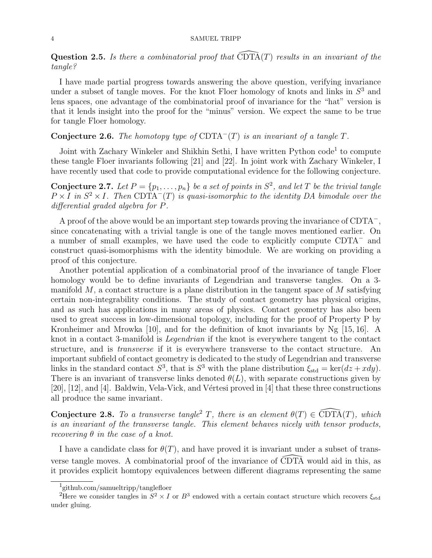**Question 2.5.** Is there a combinatorial proof that  $\overline{CDTA}(T)$  results in an invariant of the tangle?

I have made partial progress towards answering the above question, verifying invariance under a subset of tangle moves. For the knot Floer homology of knots and links in  $S<sup>3</sup>$  and lens spaces, one advantage of the combinatorial proof of invariance for the "hat" version is that it lends insight into the proof for the "minus" version. We expect the same to be true for tangle Floer homology.

# Conjecture 2.6. The homotopy type of  $CDTA^{-}(T)$  is an invariant of a tangle T.

Joint with Zachary Winkeler and Shikhin Sethi, I have written Python code<sup>[1](#page-3-0)</sup> to compute these tangle Floer invariants following [\[21\]](#page-5-13) and [\[22\]](#page-5-14). In joint work with Zachary Winkeler, I have recently used that code to provide computational evidence for the following conjecture.

**Conjecture 2.7.** Let  $P = \{p_1, \ldots, p_n\}$  be a set of points in  $S^2$ , and let T be the trivial tangle  $P \times I$  in  $S^2 \times I$ . Then CDTA<sup>-</sup>(T) is quasi-isomorphic to the identity DA bimodule over the differential graded algebra for P.

A proof of the above would be an important step towards proving the invariance of CDTA<sup>−</sup> , since concatenating with a trivial tangle is one of the tangle moves mentioned earlier. On a number of small examples, we have used the code to explicitly compute CDTA<sup>−</sup> and construct quasi-isomorphisms with the identity bimodule. We are working on providing a proof of this conjecture.

Another potential application of a combinatorial proof of the invariance of tangle Floer homology would be to define invariants of Legendrian and transverse tangles. On a 3 manifold  $M$ , a contact structure is a plane distribution in the tangent space of  $M$  satisfying certain non-integrability conditions. The study of contact geometry has physical origins, and as such has applications in many areas of physics. Contact geometry has also been used to great success in low-dimensional topology, including for the proof of Property P by Kronheimer and Mrowka [\[10\]](#page-5-15), and for the definition of knot invariants by Ng [\[15,](#page-5-16) [16\]](#page-5-17). A knot in a contact 3-manifold is Legendrian if the knot is everywhere tangent to the contact structure, and is transverse if it is everywhere transverse to the contact structure. An important subfield of contact geometry is dedicated to the study of Legendrian and transverse links in the standard contact  $S^3$ , that is  $S^3$  with the plane distribution  $\xi_{\text{std}} = \text{ker}(dz + xdy)$ . There is an invariant of transverse links denoted  $\theta(L)$ , with separate constructions given by  $[20]$ ,  $[12]$ , and  $[4]$ . Baldwin, Vela-Vick, and Vértesi proved in  $[4]$  that these three constructions all produce the same invariant.

**Conjecture [2](#page-3-1).8.** To a transverse tangle<sup>2</sup> T, there is an element  $\theta(T) \in \widehat{\mathrm{CDTA}}(T)$ , which is an invariant of the transverse tangle. This element behaves nicely with tensor products, recovering  $\theta$  in the case of a knot.

I have a candidate class for  $\theta(T)$ , and have proved it is invariant under a subset of transverse tangle moves. A combinatorial proof of the invariance of  $\widehat{C}DT\widehat{A}$  would aid in this, as it provides explicit homtopy equivalences between different diagrams representing the same

<span id="page-3-1"></span><span id="page-3-0"></span><sup>1</sup> github.com/samueltripp/tanglefloer

<sup>&</sup>lt;sup>2</sup>Here we consider tangles in  $S^2 \times I$  or  $B^3$  endowed with a certain contact structure which recovers  $\xi_{\text{std}}$ under gluing.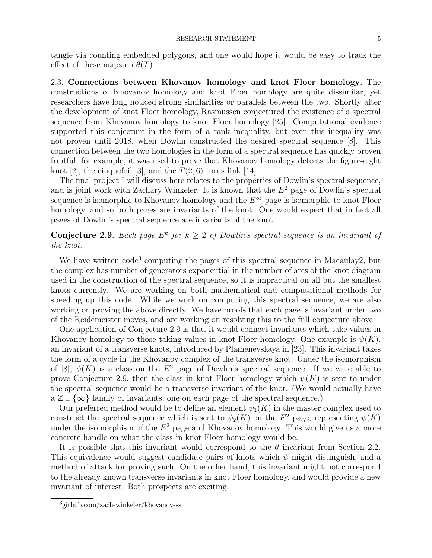tangle via counting embedded polygons, and one would hope it would be easy to track the effect of these maps on  $\theta(T)$ .

2.3. Connections between Khovanov homology and knot Floer homology. The constructions of Khovanov homology and knot Floer homology are quite dissimilar, yet researchers have long noticed strong similarities or parallels between the two. Shortly after the development of knot Floer homology, Rasmussen conjectured the existence of a spectral sequence from Khovanov homology to knot Floer homology [\[25\]](#page-5-21). Computational evidence supported this conjecture in the form of a rank inequality, but even this inequality was not proven until 2018, when Dowlin constructed the desired spectral sequence [\[8\]](#page-5-22). This connection between the two homologies in the form of a spectral sequence has quickly proven fruitful; for example, it was used to prove that Khovanov homology detects the figure-eight knot [\[2\]](#page-5-23), the cinquefoil [\[3\]](#page-5-24), and the  $T(2, 6)$  torus link [\[14\]](#page-5-25).

The final project I will discuss here relates to the properties of Dowlin's spectral sequence, and is joint work with Zachary Winkeler. It is known that the  $E<sup>2</sup>$  page of Dowlin's spectral sequence is isomorphic to Khovanov homology and the  $E^{\infty}$  page is isomorphic to knot Floer homology, and so both pages are invariants of the knot. One would expect that in fact all pages of Dowlin's spectral sequence are invariants of the knot.

# <span id="page-4-1"></span>**Conjecture 2.9.** Each page  $E^k$  for  $k \geq 2$  of Dowlin's spectral sequence is an invariant of the knot.

We have written code<sup>[3](#page-4-0)</sup> computing the pages of this spectral sequence in Macaulay2, but the complex has number of generators exponential in the number of arcs of the knot diagram used in the construction of the spectral sequence, so it is impractical on all but the smallest knots currently. We are working on both mathematical and computational methods for speeding up this code. While we work on computing this spectral sequence, we are also working on proving the above directly. We have proofs that each page is invariant under two of the Reidemeister moves, and are working on resolving this to the full conjecture above.

One application of Conjecture [2.9](#page-4-1) is that it would connect invariants which take values in Khovanov homology to those taking values in knot Floer homology. One example is  $\psi(K)$ , an invariant of a transverse knots, introduced by Plamenevskaya in [\[23\]](#page-5-26). This invariant takes the form of a cycle in the Khovanov complex of the transverse knot. Under the isomorphism of [\[8\]](#page-5-22),  $\psi(K)$  is a class on the  $E^2$  page of Dowlin's spectral sequence. If we were able to prove Conjecture [2.9,](#page-4-1) then the class in knot Floer homology which  $\psi(K)$  is sent to under the spectral sequence would be a transverse invariant of the knot. (We would actually have a  $\mathbb{Z} \cup {\infty}$  family of invariants, one on each page of the spectral sequence.)

Our preferred method would be to define an element  $\psi_1(K)$  in the master complex used to construct the spectral sequence which is sent to  $\psi_2(K)$  on the  $E^2$  page, representing  $\psi(K)$ under the isomorphism of the  $E^2$  page and Khovanov homology. This would give us a more concrete handle on what the class in knot Floer homology would be.

It is possible that this invariant would correspond to the  $\theta$  invariant from Section [2.2.](#page-2-0) This equivalence would suggest candidate pairs of knots which  $\psi$  might distinguish, and a method of attack for proving such. On the other hand, this invariant might not correspond to the already known transverse invariants in knot Floer homology, and would provide a new invariant of interest. Both prospects are exciting.

<span id="page-4-0"></span><sup>3</sup> github.com/zach-winkeler/khovanov-ss